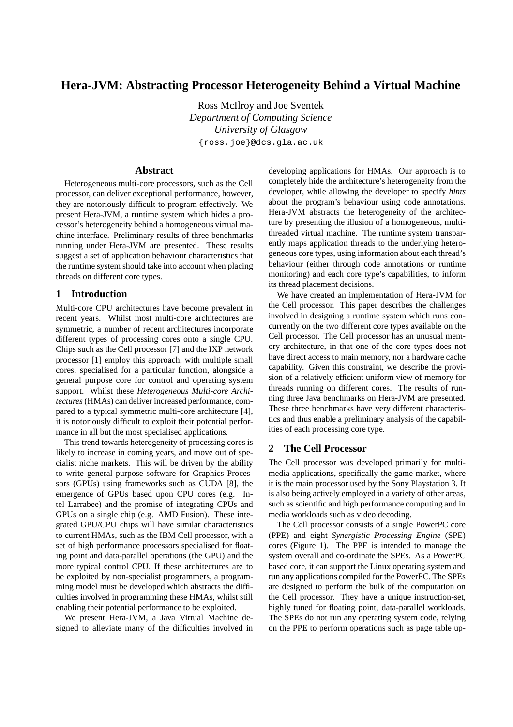# **Hera-JVM: Abstracting Processor Heterogeneity Behind a Virtual Machine**

Ross McIlroy and Joe Sventek *Department of Computing Science University of Glasgow* {ross,joe}@dcs.gla.ac.uk

#### **Abstract**

Heterogeneous multi-core processors, such as the Cell processor, can deliver exceptional performance, however, they are notoriously difficult to program effectively. We present Hera-JVM, a runtime system which hides a processor's heterogeneity behind a homogeneous virtual machine interface. Preliminary results of three benchmarks running under Hera-JVM are presented. These results suggest a set of application behaviour characteristics that the runtime system should take into account when placing threads on different core types.

### **1 Introduction**

Multi-core CPU architectures have become prevalent in recent years. Whilst most multi-core architectures are symmetric, a number of recent architectures incorporate different types of processing cores onto a single CPU. Chips such as the Cell processor [7] and the IXP network processor [1] employ this approach, with multiple small cores, specialised for a particular function, alongside a general purpose core for control and operating system support. Whilst these *Heterogeneous Multi-core Architectures*(HMAs) can deliver increased performance, compared to a typical symmetric multi-core architecture [4], it is notoriously difficult to exploit their potential performance in all but the most specialised applications.

This trend towards heterogeneity of processing cores is likely to increase in coming years, and move out of specialist niche markets. This will be driven by the ability to write general purpose software for Graphics Processors (GPUs) using frameworks such as CUDA [8], the emergence of GPUs based upon CPU cores (e.g. Intel Larrabee) and the promise of integrating CPUs and GPUs on a single chip (e.g. AMD Fusion). These integrated GPU/CPU chips will have similar characteristics to current HMAs, such as the IBM Cell processor, with a set of high performance processors specialised for floating point and data-parallel operations (the GPU) and the more typical control CPU. If these architectures are to be exploited by non-specialist programmers, a programming model must be developed which abstracts the difficulties involved in programming these HMAs, whilst still enabling their potential performance to be exploited.

We present Hera-JVM, a Java Virtual Machine designed to alleviate many of the difficulties involved in developing applications for HMAs. Our approach is to completely hide the architecture's heterogeneity from the developer, while allowing the developer to specify *hints* about the program's behaviour using code annotations. Hera-JVM abstracts the heterogeneity of the architecture by presenting the illusion of a homogeneous, multithreaded virtual machine. The runtime system transparently maps application threads to the underlying heterogeneous core types, using information about each thread's behaviour (either through code annotations or runtime monitoring) and each core type's capabilities, to inform its thread placement decisions.

We have created an implementation of Hera-JVM for the Cell processor. This paper describes the challenges involved in designing a runtime system which runs concurrently on the two different core types available on the Cell processor. The Cell processor has an unusual memory architecture, in that one of the core types does not have direct access to main memory, nor a hardware cache capability. Given this constraint, we describe the provision of a relatively efficient uniform view of memory for threads running on different cores. The results of running three Java benchmarks on Hera-JVM are presented. These three benchmarks have very different characteristics and thus enable a preliminary analysis of the capabilities of each processing core type.

#### **2 The Cell Processor**

The Cell processor was developed primarily for multimedia applications, specifically the game market, where it is the main processor used by the Sony Playstation 3. It is also being actively employed in a variety of other areas, such as scientific and high performance computing and in media workloads such as video decoding.

The Cell processor consists of a single PowerPC core (PPE) and eight *Synergistic Processing Engine* (SPE) cores (Figure 1). The PPE is intended to manage the system overall and co-ordinate the SPEs. As a PowerPC based core, it can support the Linux operating system and run any applications compiled for the PowerPC. The SPEs are designed to perform the bulk of the computation on the Cell processor. They have a unique instruction-set, highly tuned for floating point, data-parallel workloads. The SPEs do not run any operating system code, relying on the PPE to perform operations such as page table up-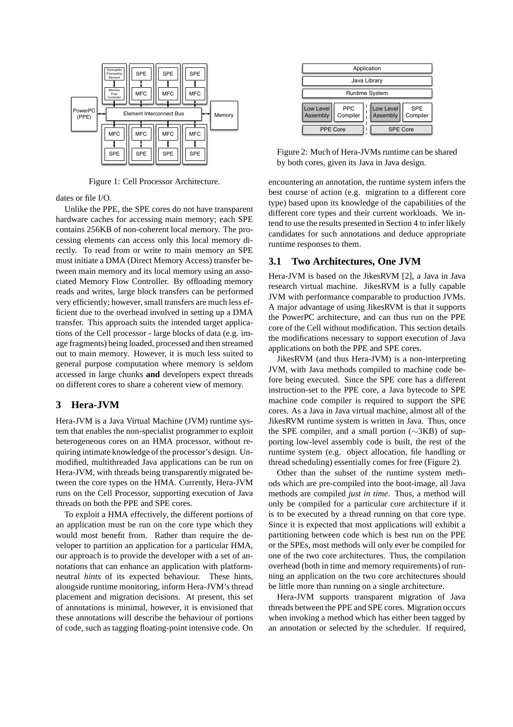

Figure 1: Cell Processor Architecture.

dates or file I/O.

Unlike the PPE, the SPE cores do not have transparent hardware caches for accessing main memory; each SPE contains 256KB of non-coherent local memory. The processing elements can access only this local memory directly. To read from or write to main memory an SPE must initiate a DMA (Direct Memory Access) transfer between main memory and its local memory using an associated Memory Flow Controller. By offloading memory reads and writes, large block transfers can be performed very efficiently; however, small transfers are much less efficient due to the overhead involved in setting up a DMA transfer. This approach suits the intended target applications of the Cell processor - large blocks of data (e.g. image fragments) being loaded, processed and then streamed out to main memory. However, it is much less suited to general purpose computation where memory is seldom accessed in large chunks **and** developers expect threads on different cores to share a coherent view of memory.

## **3 Hera-JVM**

Hera-JVM is a Java Virtual Machine (JVM) runtime system that enables the non-specialist programmer to exploit heterogeneous cores on an HMA processor, without requiring intimate knowledge of the processor's design. Unmodified, multithreaded Java applications can be run on Hera-JVM, with threads being transparently migrated between the core types on the HMA. Currently, Hera-JVM runs on the Cell Processor, supporting execution of Java threads on both the PPE and SPE cores.

To exploit a HMA effectively, the different portions of an application must be run on the core type which they would most benefit from. Rather than require the developer to partition an application for a particular HMA, our approach is to provide the developer with a set of annotations that can enhance an application with platformneutral *hints* of its expected behaviour. These hints, alongside runtime monitoring, inform Hera-JVM's thread placement and migration decisions. At present, this set of annotations is minimal, however, it is envisioned that these annotations will describe the behaviour of portions of code, such as tagging floating-point intensive code. On

| Application                  |                        |  |                       |                        |
|------------------------------|------------------------|--|-----------------------|------------------------|
| Java Library                 |                        |  |                       |                        |
| <b>Runtime System</b>        |                        |  |                       |                        |
| <b>Low Level</b><br>Assembly | <b>PPC</b><br>Compiler |  | Low Level<br>Assembly | <b>SPE</b><br>Compiler |
| PPE Core                     |                        |  | SPE Core              |                        |

Figure 2: Much of Hera-JVMs runtime can be shared by both cores, given its Java in Java design.

encountering an annotation, the runtime system infers the best course of action (e.g. migration to a different core type) based upon its knowledge of the capabilities of the different core types and their current workloads. We intend to use the results presented in Section 4 to infer likely candidates for such annotations and deduce appropriate runtime responses to them.

### **3.1 Two Architectures, One JVM**

Hera-JVM is based on the JikesRVM [2], a Java in Java research virtual machine. JikesRVM is a fully capable JVM with performance comparable to production JVMs. A major advantage of using JikesRVM is that it supports the PowerPC architecture, and can thus run on the PPE core of the Cell without modification. This section details the modifications necessary to support execution of Java applications on both the PPE and SPE cores.

JikesRVM (and thus Hera-JVM) is a non-interpreting JVM, with Java methods compiled to machine code before being executed. Since the SPE core has a different instruction-set to the PPE core, a Java bytecode to SPE machine code compiler is required to support the SPE cores. As a Java in Java virtual machine, almost all of the JikesRVM runtime system is written in Java. Thus, once the SPE compiler, and a small portion (∼3KB) of supporting low-level assembly code is built, the rest of the runtime system (e.g. object allocation, file handling or thread scheduling) essentially comes for free (Figure 2).

Other than the subset of the runtime system methods which are pre-compiled into the boot-image, all Java methods are compiled *just in time*. Thus, a method will only be compiled for a particular core architecture if it is to be executed by a thread running on that core type. Since it is expected that most applications will exhibit a partitioning between code which is best run on the PPE or the SPEs, most methods will only ever be compiled for one of the two core architectures. Thus, the compilation overhead (both in time and memory requirements) of running an application on the two core architectures should be little more than running on a single architecture.

Hera-JVM supports transparent migration of Java threads between the PPE and SPE cores. Migration occurs when invoking a method which has either been tagged by an annotation or selected by the scheduler. If required,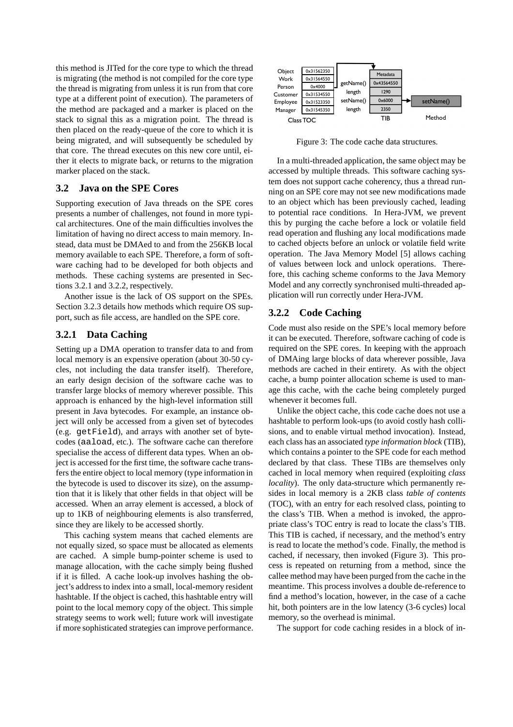this method is JITed for the core type to which the thread is migrating (the method is not compiled for the core type the thread is migrating from unless it is run from that core type at a different point of execution). The parameters of the method are packaged and a marker is placed on the stack to signal this as a migration point. The thread is then placed on the ready-queue of the core to which it is being migrated, and will subsequently be scheduled by that core. The thread executes on this new core until, either it elects to migrate back, or returns to the migration marker placed on the stack.

## **3.2 Java on the SPE Cores**

Supporting execution of Java threads on the SPE cores presents a number of challenges, not found in more typical architectures. One of the main difficulties involves the limitation of having no direct access to main memory. Instead, data must be DMAed to and from the 256KB local memory available to each SPE. Therefore, a form of software caching had to be developed for both objects and methods. These caching systems are presented in Sections 3.2.1 and 3.2.2, respectively.

Another issue is the lack of OS support on the SPEs. Section 3.2.3 details how methods which require OS support, such as file access, are handled on the SPE core.

## **3.2.1 Data Caching**

Setting up a DMA operation to transfer data to and from local memory is an expensive operation (about 30-50 cycles, not including the data transfer itself). Therefore, an early design decision of the software cache was to transfer large blocks of memory wherever possible. This approach is enhanced by the high-level information still present in Java bytecodes. For example, an instance object will only be accessed from a given set of bytecodes (e.g. getField), and arrays with another set of bytecodes (aaload, etc.). The software cache can therefore specialise the access of different data types. When an object is accessed for the first time, the software cache transfers the entire object to local memory (type information in the bytecode is used to discover its size), on the assumption that it is likely that other fields in that object will be accessed. When an array element is accessed, a block of up to 1KB of neighbouring elements is also transferred, since they are likely to be accessed shortly.

This caching system means that cached elements are not equally sized, so space must be allocated as elements are cached. A simple bump-pointer scheme is used to manage allocation, with the cache simply being flushed if it is filled. A cache look-up involves hashing the object's address to index into a small, local-memory resident hashtable. If the object is cached, this hashtable entry will point to the local memory copy of the object. This simple strategy seems to work well; future work will investigate if more sophisticated strategies can improve performance.



Figure 3: The code cache data structures.

In a multi-threaded application, the same object may be accessed by multiple threads. This software caching system does not support cache coherency, thus a thread running on an SPE core may not see new modifications made to an object which has been previously cached, leading to potential race conditions. In Hera-JVM, we prevent this by purging the cache before a lock or volatile field read operation and flushing any local modifications made to cached objects before an unlock or volatile field write operation. The Java Memory Model [5] allows caching of values between lock and unlock operations. Therefore, this caching scheme conforms to the Java Memory Model and any correctly synchronised multi-threaded application will run correctly under Hera-JVM.

## **3.2.2 Code Caching**

Code must also reside on the SPE's local memory before it can be executed. Therefore, software caching of code is required on the SPE cores. In keeping with the approach of DMAing large blocks of data wherever possible, Java methods are cached in their entirety. As with the object cache, a bump pointer allocation scheme is used to manage this cache, with the cache being completely purged whenever it becomes full.

Unlike the object cache, this code cache does not use a hashtable to perform look-ups (to avoid costly hash collisions, and to enable virtual method invocation). Instead, each class has an associated *type information block* (TIB), which contains a pointer to the SPE code for each method declared by that class. These TIBs are themselves only cached in local memory when required (exploiting *class locality*). The only data-structure which permanently resides in local memory is a 2KB class *table of contents* (TOC), with an entry for each resolved class, pointing to the class's TIB. When a method is invoked, the appropriate class's TOC entry is read to locate the class's TIB. This TIB is cached, if necessary, and the method's entry is read to locate the method's code. Finally, the method is cached, if necessary, then invoked (Figure 3). This process is repeated on returning from a method, since the callee method may have been purged from the cache in the meantime. This process involves a double de-reference to find a method's location, however, in the case of a cache hit, both pointers are in the low latency (3-6 cycles) local memory, so the overhead is minimal.

The support for code caching resides in a block of in-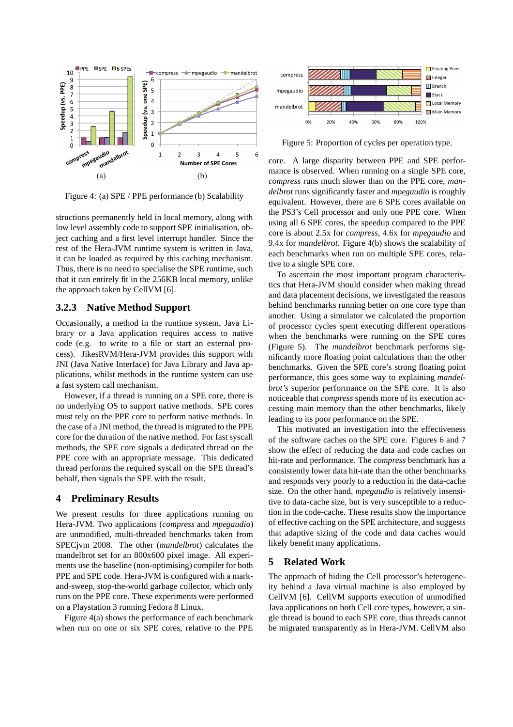

Figure 4: (a) SPE / PPE performance (b) Scalability

structions permanently held in local memory, along with low level assembly code to support SPE initialisation, object caching and a first level interrupt handler. Since the rest of the Hera-JVM runtime system is written in Java, it can be loaded as required by this caching mechanism. Thus, there is no need to specialise the SPE runtime, such that it can entirely fit in the 256KB local memory, unlike the approach taken by CellVM [6].

## **3.2.3 Native Method Support**

Occasionally, a method in the runtime system, Java Library or a Java application requires access to native code (e.g. to write to a file or start an external process). JikesRVM/Hera-JVM provides this support with JNI (Java Native Interface) for Java Library and Java applications, whilst methods in the runtime system can use a fast system call mechanism.

However, if a thread is running on a SPE core, there is no underlying OS to support native methods. SPE cores must rely on the PPE core to perform native methods. In the case of a JNI method, the thread is migrated to the PPE core for the duration of the native method. For fast syscall methods, the SPE core signals a dedicated thread on the PPE core with an appropriate message. This dedicated thread performs the required syscall on the SPE thread's behalf, then signals the SPE with the result.

## **4 Preliminary Results**

We present results for three applications running on Hera-JVM. Two applications (*compress* and *mpegaudio*) are unmodified, multi-threaded benchmarks taken from SPECjvm 2008. The other (*mandelbrot*) calculates the mandelbrot set for an 800x600 pixel image. All experiments use the baseline (non-optimising) compiler for both PPE and SPE code. Hera-JVM is configured with a markand-sweep, stop-the-world garbage collector, which only runs on the PPE core. These experiments were performed on a Playstation 3 running Fedora 8 Linux.

Figure 4(a) shows the performance of each benchmark when run on one or six SPE cores, relative to the PPE



Figure 5: Proportion of cycles per operation type.

core. A large disparity between PPE and SPE performance is observed. When running on a single SPE core, *compress* runs much slower than on the PPE core, *mandelbrot* runs significantly faster and *mpegaudio* is roughly equivalent. However, there are 6 SPE cores available on the PS3's Cell processor and only one PPE core. When using all 6 SPE cores, the speedup compared to the PPE core is about 2.5x for *compress*, 4.6x for *mpegaudio* and 9.4x for *mandelbrot*. Figure 4(b) shows the scalability of each benchmarks when run on multiple SPE cores, relative to a single SPE core.

To ascertain the most important program characteristics that Hera-JVM should consider when making thread and data placement decisions, we investigated the reasons behind benchmarks running better on one core type than another. Using a simulator we calculated the proportion of processor cycles spent executing different operations when the benchmarks were running on the SPE cores (Figure 5). The *mandelbrot* benchmark performs significantly more floating point calculations than the other benchmarks. Given the SPE core's strong floating point performance, this goes some way to explaining *mandelbrot's* superior performance on the SPE core. It is also noticeable that *compress* spends more of its execution accessing main memory than the other benchmarks, likely leading to its poor performance on the SPE.

This motivated an investigation into the effectiveness of the software caches on the SPE core. Figures 6 and 7 show the effect of reducing the data and code caches on hit-rate and performance. The *compress* benchmark has a consistently lower data hit-rate than the other benchmarks and responds very poorly to a reduction in the data-cache size. On the other hand, *mpegaudio* is relatively insensitive to data-cache size, but is very susceptible to a reduction in the code-cache. These results show the importance of effective caching on the SPE architecture, and suggests that adaptive sizing of the code and data caches would likely benefit many applications.

## **5 Related Work**

The approach of hiding the Cell processor's heterogeneity behind a Java virtual machine is also employed by CellVM [6]. CellVM supports execution of unmodified Java applications on both Cell core types, however, a single thread is bound to each SPE core, thus threads cannot be migrated transparently as in Hera-JVM. CellVM also